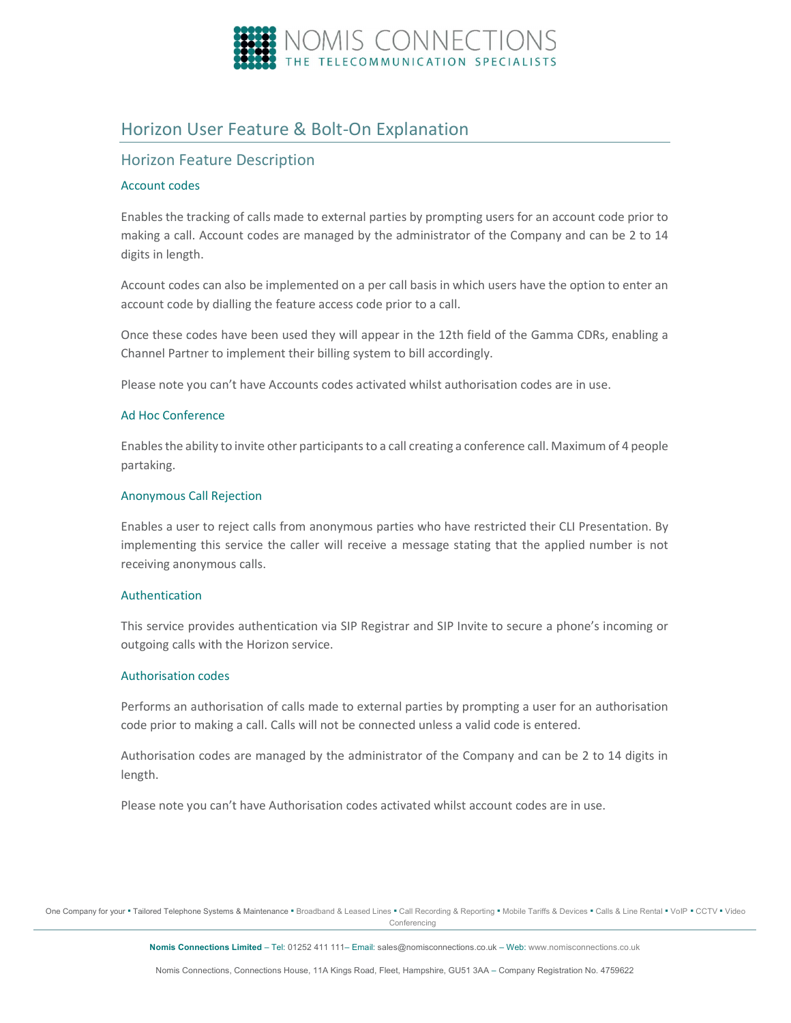

# Horizon User Feature & Bolt-On Explanation

## Horizon Feature Description

## Account codes

Enables the tracking of calls made to external parties by prompting users for an account code prior to making a call. Account codes are managed by the administrator of the Company and can be 2 to 14 digits in length.

Account codes can also be implemented on a per call basis in which users have the option to enter an account code by dialling the feature access code prior to a call.

Once these codes have been used they will appear in the 12th field of the Gamma CDRs, enabling a Channel Partner to implement their billing system to bill accordingly.

Please note you can't have Accounts codes activated whilst authorisation codes are in use.

#### Ad Hoc Conference

Enables the ability to invite other participants to a call creating a conference call. Maximum of 4 people partaking.

#### Anonymous Call Rejection

Enables a user to reject calls from anonymous parties who have restricted their CLI Presentation. By implementing this service the caller will receive a message stating that the applied number is not receiving anonymous calls.

#### Authentication

This service provides authentication via SIP Registrar and SIP Invite to secure a phone's incoming or outgoing calls with the Horizon service.

#### Authorisation codes

Performs an authorisation of calls made to external parties by prompting a user for an authorisation code prior to making a call. Calls will not be connected unless a valid code is entered.

Authorisation codes are managed by the administrator of the Company and can be 2 to 14 digits in length.

Please note you can't have Authorisation codes activated whilst account codes are in use.

One Company for your . Tailored Telephone Systems & Maintenance . Broadband & Leased Lines . Call Recording & Reporting . Mobile Tariffs & Devices . Calls & Line Rental . VoIP . CCTV . Video **Conferencing**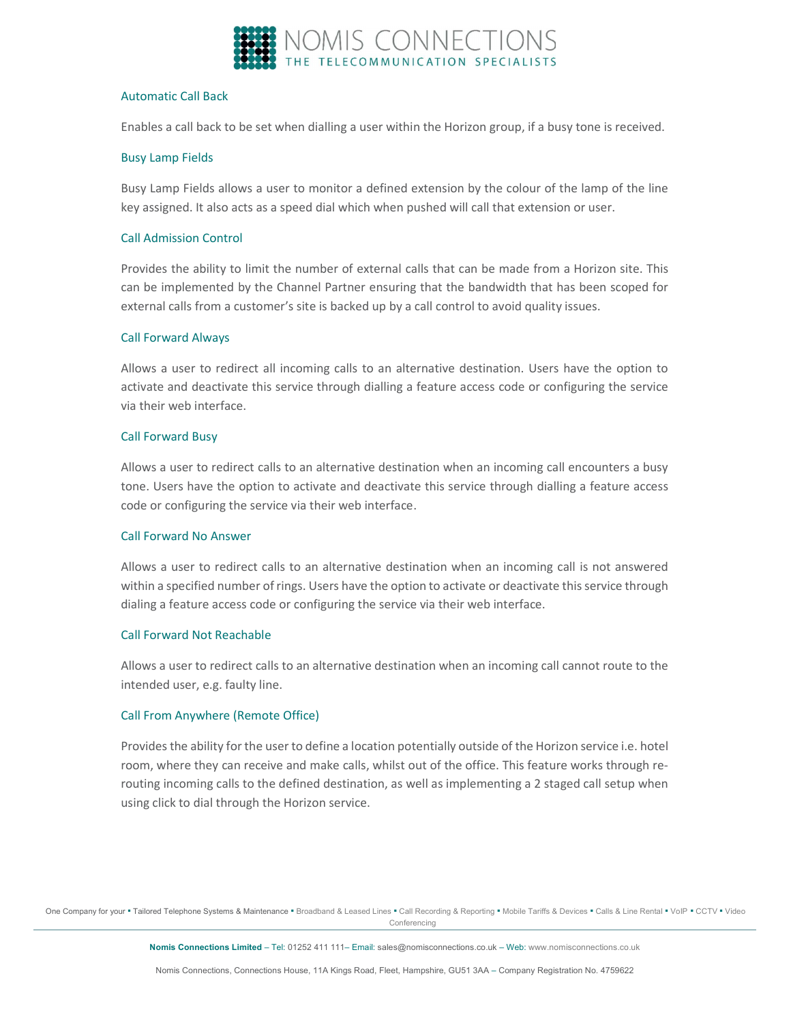

#### Automatic Call Back

Enables a call back to be set when dialling a user within the Horizon group, if a busy tone is received.

#### Busy Lamp Fields

Busy Lamp Fields allows a user to monitor a defined extension by the colour of the lamp of the line key assigned. It also acts as a speed dial which when pushed will call that extension or user.

#### Call Admission Control

Provides the ability to limit the number of external calls that can be made from a Horizon site. This can be implemented by the Channel Partner ensuring that the bandwidth that has been scoped for external calls from a customer's site is backed up by a call control to avoid quality issues.

#### Call Forward Always

Allows a user to redirect all incoming calls to an alternative destination. Users have the option to activate and deactivate this service through dialling a feature access code or configuring the service via their web interface.

#### Call Forward Busy

Allows a user to redirect calls to an alternative destination when an incoming call encounters a busy tone. Users have the option to activate and deactivate this service through dialling a feature access code or configuring the service via their web interface.

#### Call Forward No Answer

Allows a user to redirect calls to an alternative destination when an incoming call is not answered within a specified number of rings. Users have the option to activate or deactivate this service through dialing a feature access code or configuring the service via their web interface.

#### Call Forward Not Reachable

Allows a user to redirect calls to an alternative destination when an incoming call cannot route to the intended user, e.g. faulty line.

## Call From Anywhere (Remote Office)

Provides the ability for the user to define a location potentially outside of the Horizon service i.e. hotel room, where they can receive and make calls, whilst out of the office. This feature works through rerouting incoming calls to the defined destination, as well as implementing a 2 staged call setup when using click to dial through the Horizon service.

One Company for your . Tailored Telephone Systems & Maintenance . Broadband & Leased Lines . Call Recording & Reporting . Mobile Tariffs & Devices . Calls & Line Rental . VoIP . CCTV . Video **Conferencing**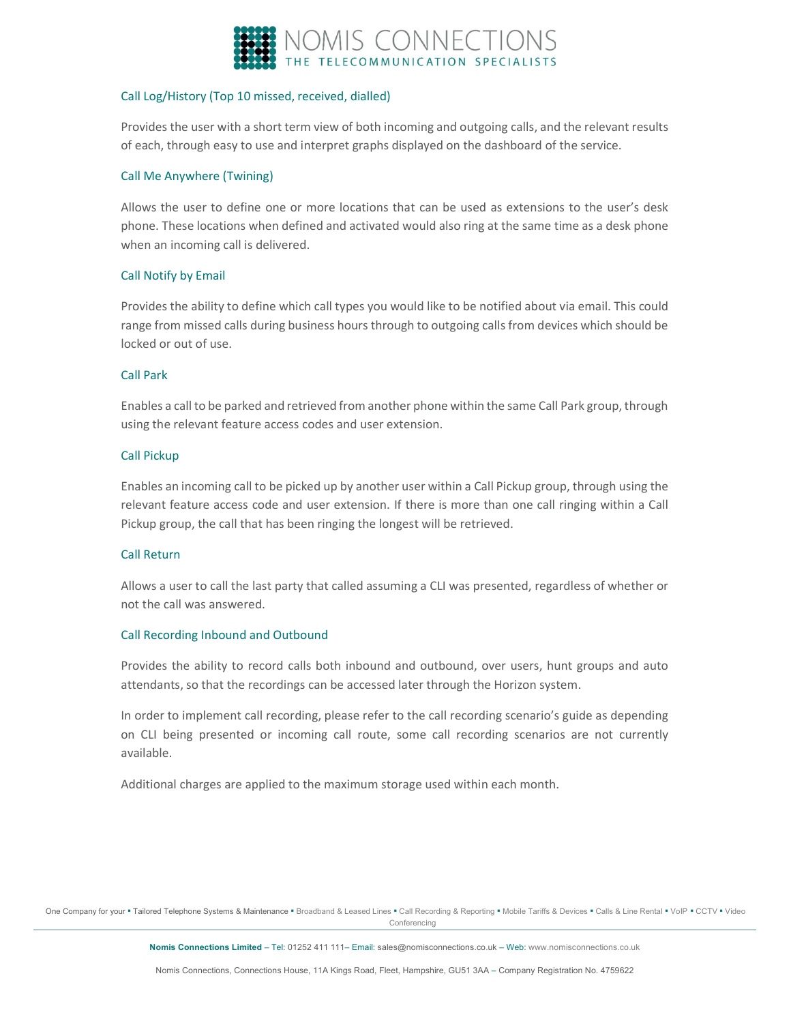

## Call Log/History (Top 10 missed, received, dialled)

Provides the user with a short term view of both incoming and outgoing calls, and the relevant results of each, through easy to use and interpret graphs displayed on the dashboard of the service.

#### Call Me Anywhere (Twining)

Allows the user to define one or more locations that can be used as extensions to the user's desk phone. These locations when defined and activated would also ring at the same time as a desk phone when an incoming call is delivered.

## Call Notify by Email

Provides the ability to define which call types you would like to be notified about via email. This could range from missed calls during business hours through to outgoing calls from devices which should be locked or out of use.

#### Call Park

Enables a call to be parked and retrieved from another phone within the same Call Park group, through using the relevant feature access codes and user extension.

#### Call Pickup

Enables an incoming call to be picked up by another user within a Call Pickup group, through using the relevant feature access code and user extension. If there is more than one call ringing within a Call Pickup group, the call that has been ringing the longest will be retrieved.

## Call Return

Allows a user to call the last party that called assuming a CLI was presented, regardless of whether or not the call was answered.

#### Call Recording Inbound and Outbound

Provides the ability to record calls both inbound and outbound, over users, hunt groups and auto attendants, so that the recordings can be accessed later through the Horizon system.

In order to implement call recording, please refer to the call recording scenario's guide as depending on CLI being presented or incoming call route, some call recording scenarios are not currently available.

Additional charges are applied to the maximum storage used within each month.

One Company for your · Tailored Telephone Systems & Maintenance · Broadband & Leased Lines · Call Recording & Reporting · Mobile Tariffs & Devices · Calls & Line Rental · VoIP · CCTV · Video **Conferencing**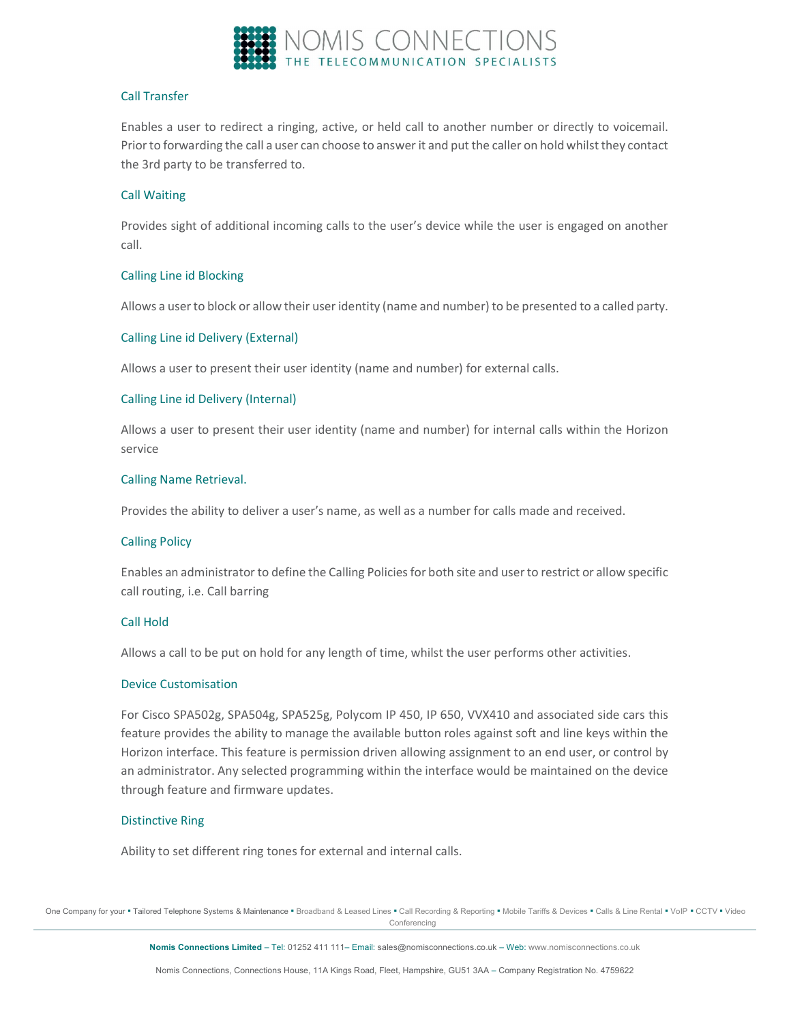

## Call Transfer

Enables a user to redirect a ringing, active, or held call to another number or directly to voicemail. Prior to forwarding the call a user can choose to answer it and put the caller on hold whilst they contact the 3rd party to be transferred to.

## Call Waiting

Provides sight of additional incoming calls to the user's device while the user is engaged on another call.

## Calling Line id Blocking

Allows a user to block or allow their user identity (name and number) to be presented to a called party.

## Calling Line id Delivery (External)

Allows a user to present their user identity (name and number) for external calls.

## Calling Line id Delivery (Internal)

Allows a user to present their user identity (name and number) for internal calls within the Horizon service

## Calling Name Retrieval.

Provides the ability to deliver a user's name, as well as a number for calls made and received.

## Calling Policy

Enables an administrator to define the Calling Policies for both site and user to restrict or allow specific call routing, i.e. Call barring

## Call Hold

Allows a call to be put on hold for any length of time, whilst the user performs other activities.

## Device Customisation

For Cisco SPA502g, SPA504g, SPA525g, Polycom IP 450, IP 650, VVX410 and associated side cars this feature provides the ability to manage the available button roles against soft and line keys within the Horizon interface. This feature is permission driven allowing assignment to an end user, or control by an administrator. Any selected programming within the interface would be maintained on the device through feature and firmware updates.

## Distinctive Ring

Ability to set different ring tones for external and internal calls.

One Company for your . Tailored Telephone Systems & Maintenance . Broadband & Leased Lines . Call Recording & Reporting . Mobile Tariffs & Devices . Calls & Line Rental . VoIP . CCTV . Video **Conferencing**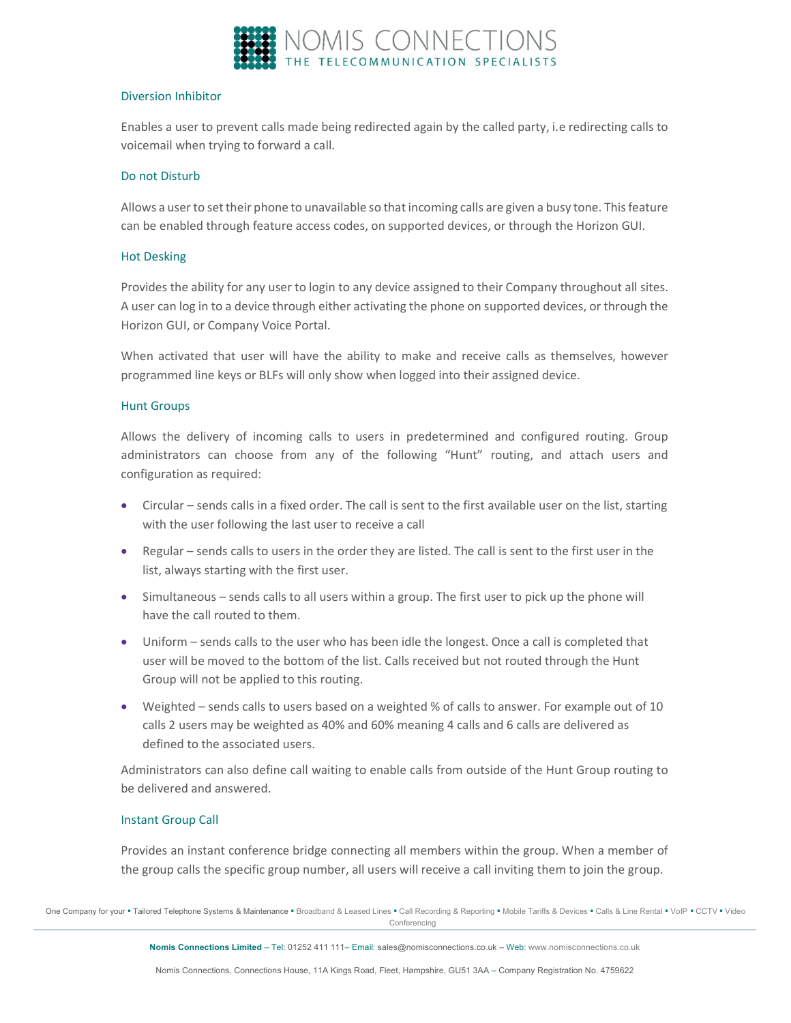

#### Diversion Inhibitor

Enables a user to prevent calls made being redirected again by the called party, i.e redirecting calls to voicemail when trying to forward a call.

#### Do not Disturb

Allows a user to set their phone to unavailable so that incoming calls are given a busy tone. This feature can be enabled through feature access codes, on supported devices, or through the Horizon GUI.

#### Hot Desking

Provides the ability for any user to login to any device assigned to their Company throughout all sites. A user can log in to a device through either activating the phone on supported devices, or through the Horizon GUI, or Company Voice Portal.

When activated that user will have the ability to make and receive calls as themselves, however programmed line keys or BLFs will only show when logged into their assigned device.

#### Hunt Groups

Allows the delivery of incoming calls to users in predetermined and configured routing. Group administrators can choose from any of the following "Hunt" routing, and attach users and configuration as required:

- Circular sends calls in a fixed order. The call is sent to the first available user on the list, starting with the user following the last user to receive a call
- Regular sends calls to users in the order they are listed. The call is sent to the first user in the list, always starting with the first user.
- Simultaneous sends calls to all users within a group. The first user to pick up the phone will have the call routed to them.
- Uniform sends calls to the user who has been idle the longest. Once a call is completed that user will be moved to the bottom of the list. Calls received but not routed through the Hunt Group will not be applied to this routing.
- Weighted sends calls to users based on a weighted % of calls to answer. For example out of 10 calls 2 users may be weighted as 40% and 60% meaning 4 calls and 6 calls are delivered as defined to the associated users.

Administrators can also define call waiting to enable calls from outside of the Hunt Group routing to be delivered and answered.

## Instant Group Call

Provides an instant conference bridge connecting all members within the group. When a member of the group calls the specific group number, all users will receive a call inviting them to join the group.

One Company for your . Tailored Telephone Systems & Maintenance . Broadband & Leased Lines . Call Recording & Reporting . Mobile Tariffs & Devices . Calls & Line Rental . VoIP . CCTV . Video Conferencing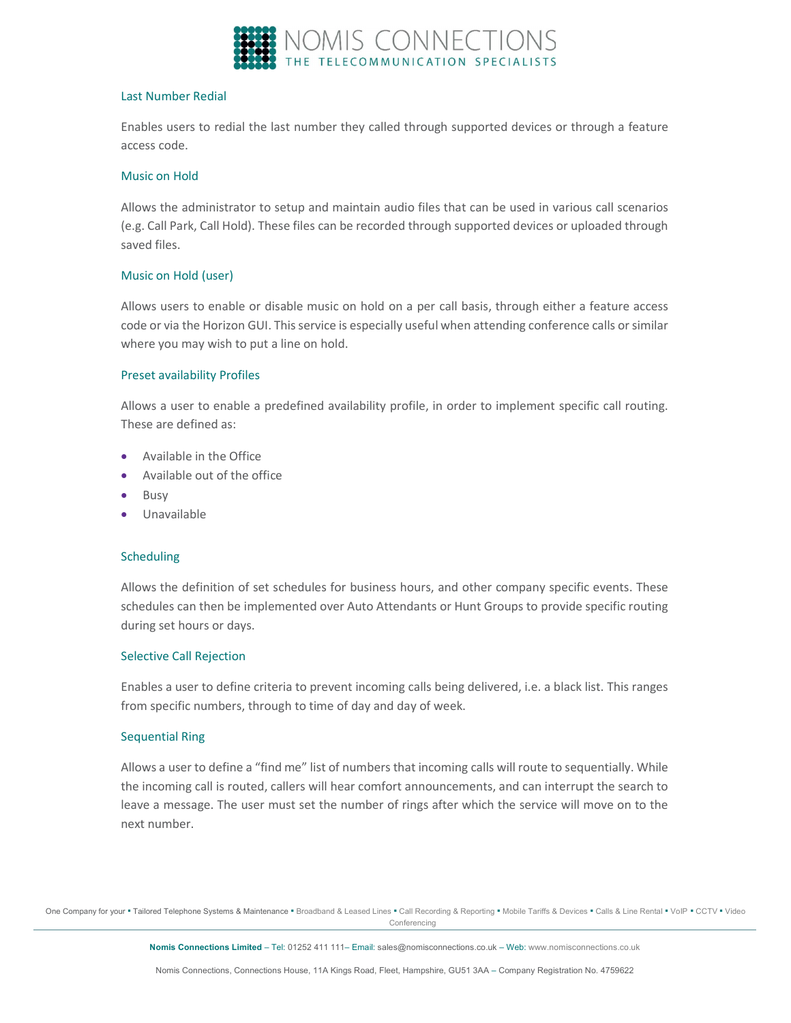

#### Last Number Redial

Enables users to redial the last number they called through supported devices or through a feature access code.

#### Music on Hold

Allows the administrator to setup and maintain audio files that can be used in various call scenarios (e.g. Call Park, Call Hold). These files can be recorded through supported devices or uploaded through saved files.

## Music on Hold (user)

Allows users to enable or disable music on hold on a per call basis, through either a feature access code or via the Horizon GUI. This service is especially useful when attending conference calls or similar where you may wish to put a line on hold.

## Preset availability Profiles

Allows a user to enable a predefined availability profile, in order to implement specific call routing. These are defined as:

- Available in the Office
- Available out of the office
- Busy
- Unavailable

## **Scheduling**

Allows the definition of set schedules for business hours, and other company specific events. These schedules can then be implemented over Auto Attendants or Hunt Groups to provide specific routing during set hours or days.

## Selective Call Rejection

Enables a user to define criteria to prevent incoming calls being delivered, i.e. a black list. This ranges from specific numbers, through to time of day and day of week.

## Sequential Ring

Allows a user to define a "find me" list of numbers that incoming calls will route to sequentially. While the incoming call is routed, callers will hear comfort announcements, and can interrupt the search to leave a message. The user must set the number of rings after which the service will move on to the next number.

One Company for your . Tailored Telephone Systems & Maintenance . Broadband & Leased Lines . Call Recording & Reporting . Mobile Tariffs & Devices . Calls & Line Rental . VoIP . CCTV . Video **Conferencing**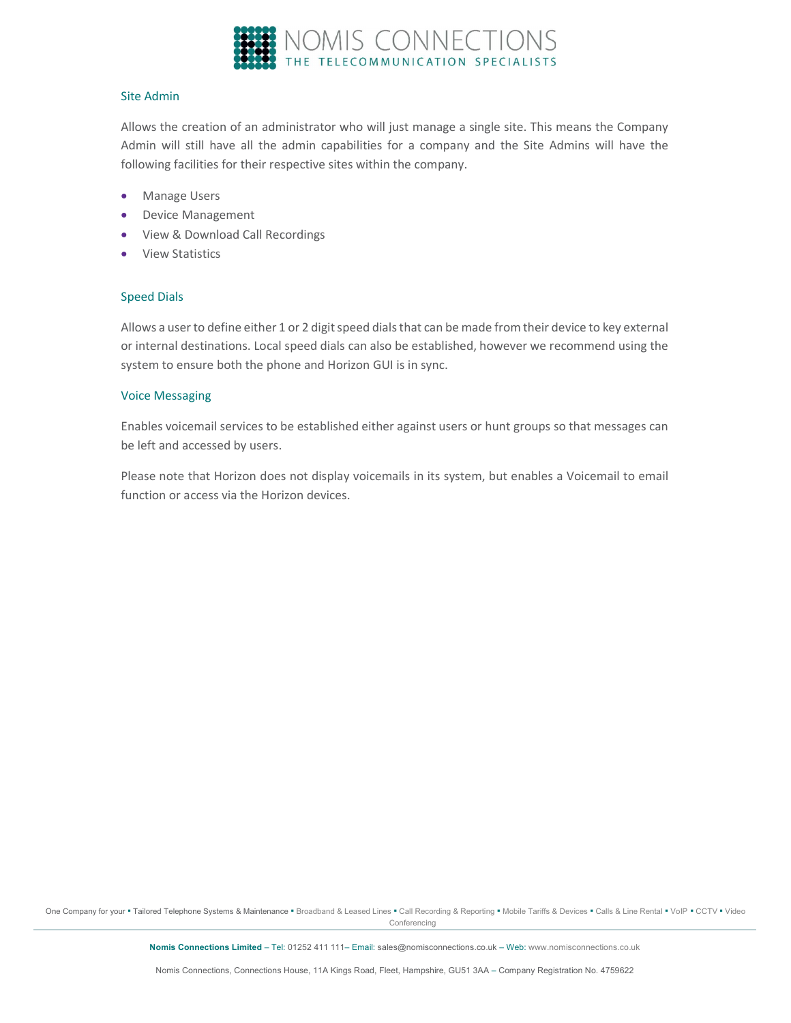

#### Site Admin

Allows the creation of an administrator who will just manage a single site. This means the Company Admin will still have all the admin capabilities for a company and the Site Admins will have the following facilities for their respective sites within the company.

- **•** Manage Users
- Device Management
- View & Download Call Recordings
- View Statistics

## Speed Dials

Allows a user to define either 1 or 2 digit speed dials that can be made from their device to key external or internal destinations. Local speed dials can also be established, however we recommend using the system to ensure both the phone and Horizon GUI is in sync.

#### Voice Messaging

Enables voicemail services to be established either against users or hunt groups so that messages can be left and accessed by users.

Please note that Horizon does not display voicemails in its system, but enables a Voicemail to email function or access via the Horizon devices.

One Company for your · Tailored Telephone Systems & Maintenance · Broadband & Leased Lines · Call Recording & Reporting · Mobile Tariffs & Devices · Calls & Line Rental · VoIP · CCTV · Video Conferencing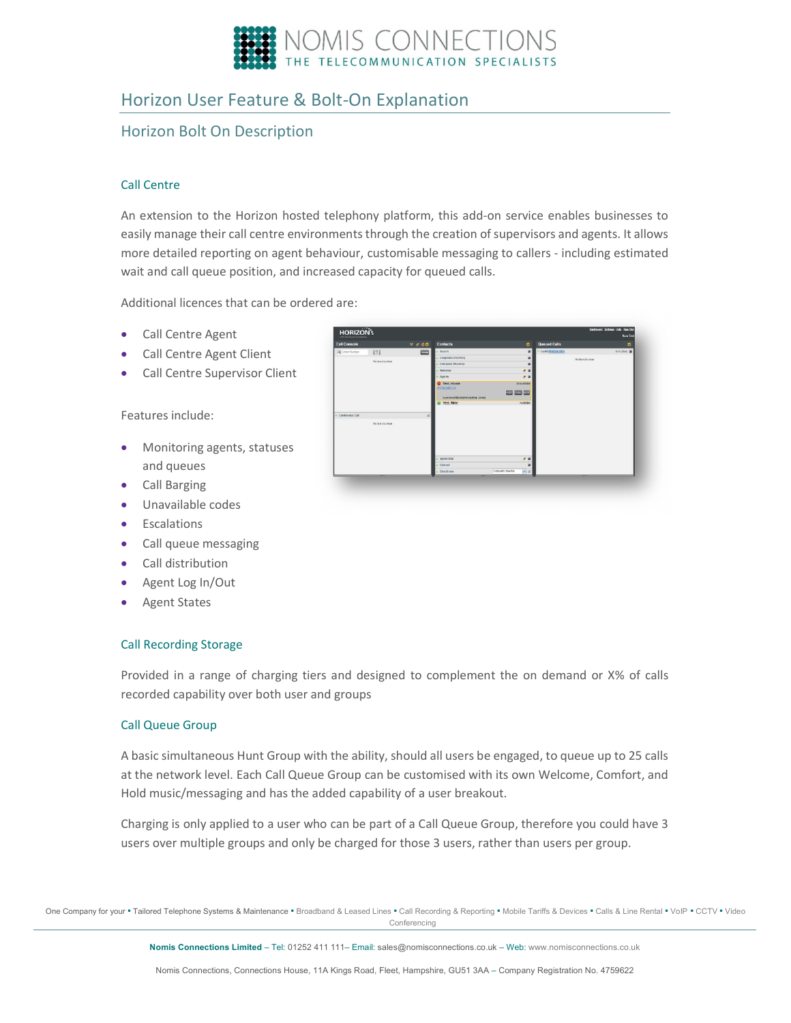

# Horizon User Feature & Bolt-On Explanation

# Horizon Bolt On Description

## Call Centre

An extension to the Horizon hosted telephony platform, this add-on service enables businesses to easily manage their call centre environments through the creation of supervisors and agents. It allows more detailed reporting on agent behaviour, customisable messaging to callers - including estimated wait and call queue position, and increased capacity for queued calls.

**000 000 00** 

Additional licences that can be ordered are:

- Call Centre Agent
- Call Centre Agent Client
- Call Centre Supervisor Client

Features include:

- Monitoring agents, statuses and queues
- **•** Call Barging
- Unavailable codes
- **•** Escalations
- Call queue messaging
- Call distribution
- Agent Log In/Out
- Agent States

## Call Recording Storage

Provided in a range of charging tiers and designed to complement the on demand or X% of calls recorded capability over both user and groups

## Call Queue Group

A basic simultaneous Hunt Group with the ability, should all users be engaged, to queue up to 25 calls at the network level. Each Call Queue Group can be customised with its own Welcome, Comfort, and Hold music/messaging and has the added capability of a user breakout.

Charging is only applied to a user who can be part of a Call Queue Group, therefore you could have 3 users over multiple groups and only be charged for those 3 users, rather than users per group.

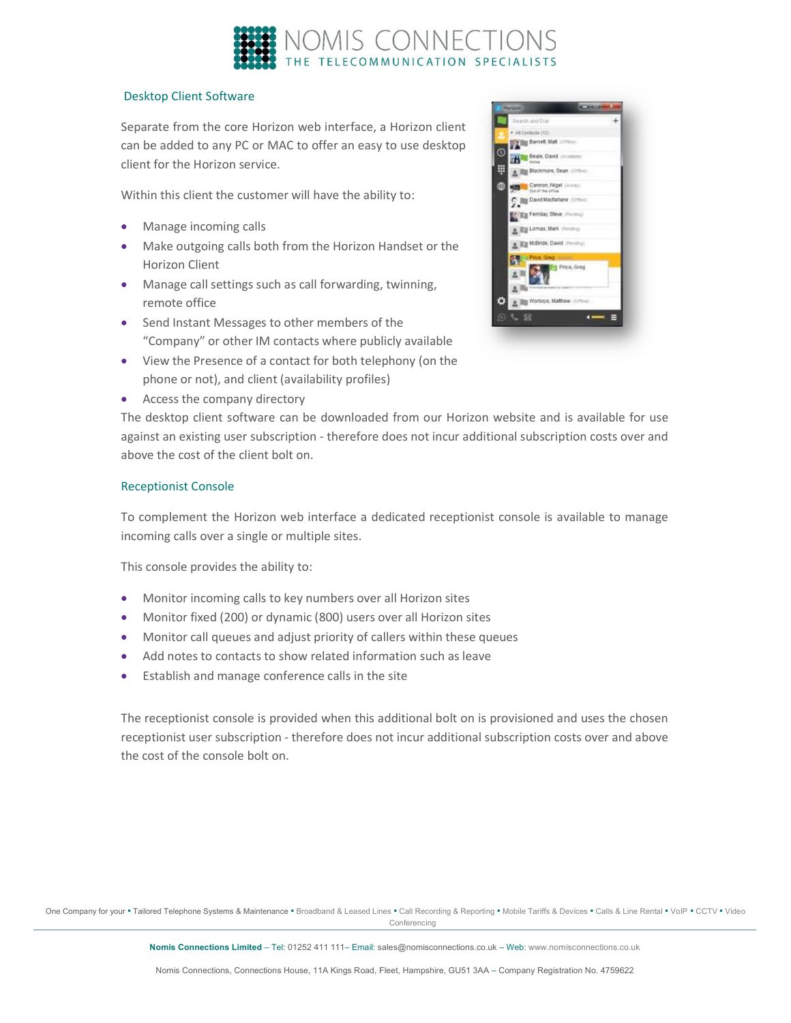

## Desktop Client Software

Separate from the core Horizon web interface, a Horizon client can be added to any PC or MAC to offer an easy to use desktop client for the Horizon service.

Within this client the customer will have the ability to:

- Manage incoming calls
- Make outgoing calls both from the Horizon Handset or the Horizon Client
- Manage call settings such as call forwarding, twinning, remote office
- **Send Instant Messages to other members of the** "Company" or other IM contacts where publicly available
- View the Presence of a contact for both telephony (on the phone or not), and client (availability profiles)
- Access the company directory

The desktop client software can be downloaded from our Horizon website and is available for use against an existing user subscription - therefore does not incur additional subscription costs over and above the cost of the client bolt on.

## Receptionist Console

To complement the Horizon web interface a dedicated receptionist console is available to manage incoming calls over a single or multiple sites.

This console provides the ability to:

- Monitor incoming calls to key numbers over all Horizon sites
- Monitor fixed (200) or dynamic (800) users over all Horizon sites
- Monitor call queues and adjust priority of callers within these queues
- Add notes to contacts to show related information such as leave
- **Establish and manage conference calls in the site**

The receptionist console is provided when this additional bolt on is provisioned and uses the chosen receptionist user subscription - therefore does not incur additional subscription costs over and above the cost of the console bolt on.



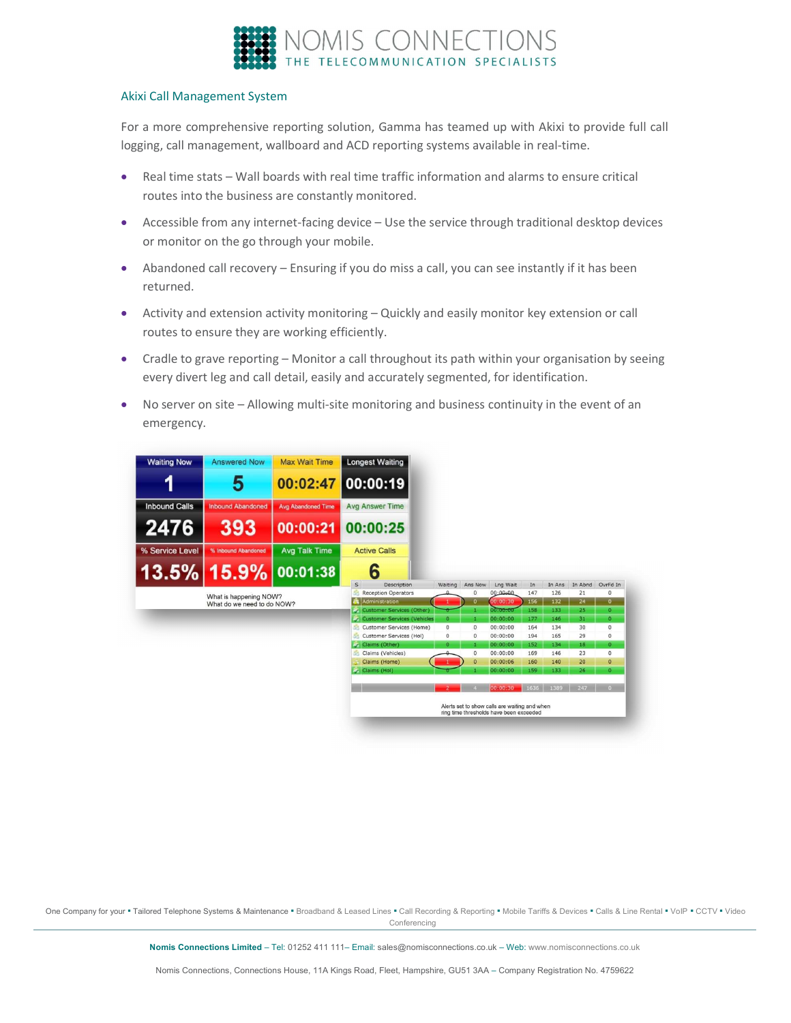

#### Akixi Call Management System

For a more comprehensive reporting solution, Gamma has teamed up with Akixi to provide full call logging, call management, wallboard and ACD reporting systems available in real-time.

- Real time stats Wall boards with real time traffic information and alarms to ensure critical routes into the business are constantly monitored.
- Accessible from any internet-facing device Use the service through traditional desktop devices or monitor on the go through your mobile.
- Abandoned call recovery Ensuring if you do miss a call, you can see instantly if it has been returned.
- Activity and extension activity monitoring Quickly and easily monitor key extension or call routes to ensure they are working efficiently.
- Cradle to grave reporting Monitor a call throughout its path within your organisation by seeing every divert leg and call detail, easily and accurately segmented, for identification.
- No server on site Allowing multi-site monitoring and business continuity in the event of an emergency.



One Company for your . Tailored Telephone Systems & Maintenance . Broadband & Leased Lines . Call Recording & Reporting . Mobile Tariffs & Devices . Calls & Line Rental . VoIP . CCTV . Video Conferencing